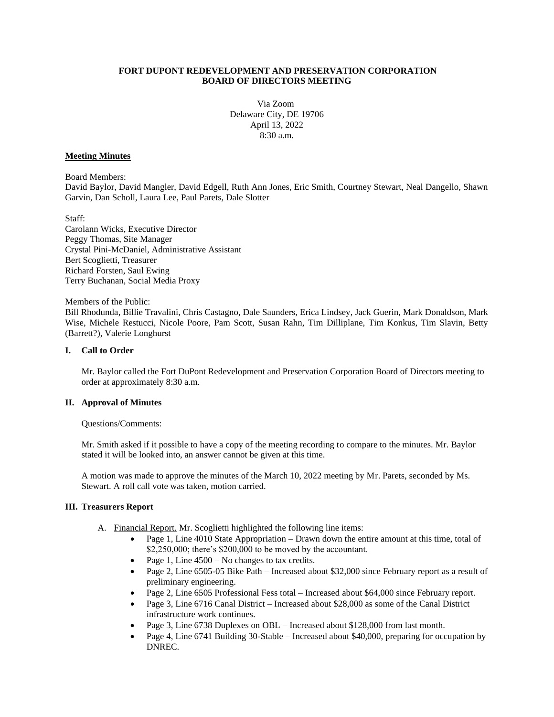#### **FORT DUPONT REDEVELOPMENT AND PRESERVATION CORPORATION BOARD OF DIRECTORS MEETING**

Via Zoom Delaware City, DE 19706 April 13, 2022 8:30 a.m.

## **Meeting Minutes**

Board Members:

David Baylor, David Mangler, David Edgell, Ruth Ann Jones, Eric Smith, Courtney Stewart, Neal Dangello, Shawn Garvin, Dan Scholl, Laura Lee, Paul Parets, Dale Slotter

Staff:

Carolann Wicks, Executive Director Peggy Thomas, Site Manager Crystal Pini-McDaniel, Administrative Assistant Bert Scoglietti, Treasurer Richard Forsten, Saul Ewing Terry Buchanan, Social Media Proxy

Members of the Public:

Bill Rhodunda, Billie Travalini, Chris Castagno, Dale Saunders, Erica Lindsey, Jack Guerin, Mark Donaldson, Mark Wise, Michele Restucci, Nicole Poore, Pam Scott, Susan Rahn, Tim Dilliplane, Tim Konkus, Tim Slavin, Betty (Barrett?), Valerie Longhurst

#### **I. Call to Order**

Mr. Baylor called the Fort DuPont Redevelopment and Preservation Corporation Board of Directors meeting to order at approximately 8:30 a.m.

#### **II. Approval of Minutes**

Questions/Comments:

Mr. Smith asked if it possible to have a copy of the meeting recording to compare to the minutes. Mr. Baylor stated it will be looked into, an answer cannot be given at this time.

A motion was made to approve the minutes of the March 10, 2022 meeting by Mr. Parets, seconded by Ms. Stewart. A roll call vote was taken, motion carried.

## **III. Treasurers Report**

- A. Financial Report. Mr. Scoglietti highlighted the following line items:
	- Page 1, Line 4010 State Appropriation Drawn down the entire amount at this time, total of \$2,250,000; there's \$200,000 to be moved by the accountant.
	- Page 1, Line  $4500 No$  changes to tax credits.
	- Page 2, Line 6505-05 Bike Path Increased about \$32,000 since February report as a result of preliminary engineering.
	- Page 2, Line 6505 Professional Fess total Increased about \$64,000 since February report.
	- Page 3, Line 6716 Canal District Increased about \$28,000 as some of the Canal District infrastructure work continues.
	- Page 3, Line 6738 Duplexes on OBL Increased about \$128,000 from last month.
	- Page 4, Line 6741 Building 30-Stable Increased about \$40,000, preparing for occupation by DNREC.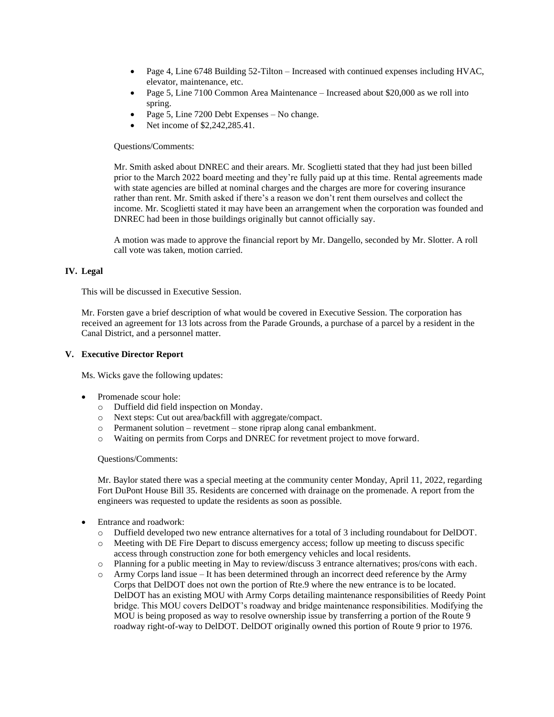- Page 4, Line 6748 Building 52-Tilton Increased with continued expenses including HVAC, elevator, maintenance, etc.
- Page 5, Line 7100 Common Area Maintenance Increased about \$20,000 as we roll into spring.
- Page 5, Line 7200 Debt Expenses No change.
- Net income of \$2,242,285.41.

# Questions/Comments:

Mr. Smith asked about DNREC and their arears. Mr. Scoglietti stated that they had just been billed prior to the March 2022 board meeting and they're fully paid up at this time. Rental agreements made with state agencies are billed at nominal charges and the charges are more for covering insurance rather than rent. Mr. Smith asked if there's a reason we don't rent them ourselves and collect the income. Mr. Scoglietti stated it may have been an arrangement when the corporation was founded and DNREC had been in those buildings originally but cannot officially say.

A motion was made to approve the financial report by Mr. Dangello, seconded by Mr. Slotter. A roll call vote was taken, motion carried.

# **IV. Legal**

This will be discussed in Executive Session.

Mr. Forsten gave a brief description of what would be covered in Executive Session. The corporation has received an agreement for 13 lots across from the Parade Grounds, a purchase of a parcel by a resident in the Canal District, and a personnel matter.

# **V. Executive Director Report**

Ms. Wicks gave the following updates:

- Promenade scour hole:
	- o Duffield did field inspection on Monday.
	- o Next steps: Cut out area/backfill with aggregate/compact.
	- o Permanent solution revetment stone riprap along canal embankment.
	- o Waiting on permits from Corps and DNREC for revetment project to move forward.

Questions/Comments:

Mr. Baylor stated there was a special meeting at the community center Monday, April 11, 2022, regarding Fort DuPont House Bill 35. Residents are concerned with drainage on the promenade. A report from the engineers was requested to update the residents as soon as possible.

- Entrance and roadwork:
	- o Duffield developed two new entrance alternatives for a total of 3 including roundabout for DelDOT.
	- o Meeting with DE Fire Depart to discuss emergency access; follow up meeting to discuss specific access through construction zone for both emergency vehicles and local residents.
	- o Planning for a public meeting in May to review/discuss 3 entrance alternatives; pros/cons with each.
	- o Army Corps land issue It has been determined through an incorrect deed reference by the Army Corps that DelDOT does not own the portion of Rte.9 where the new entrance is to be located. DelDOT has an existing MOU with Army Corps detailing maintenance responsibilities of Reedy Point bridge. This MOU covers DelDOT's roadway and bridge maintenance responsibilities. Modifying the MOU is being proposed as way to resolve ownership issue by transferring a portion of the Route 9 roadway right-of-way to DelDOT. DelDOT originally owned this portion of Route 9 prior to 1976.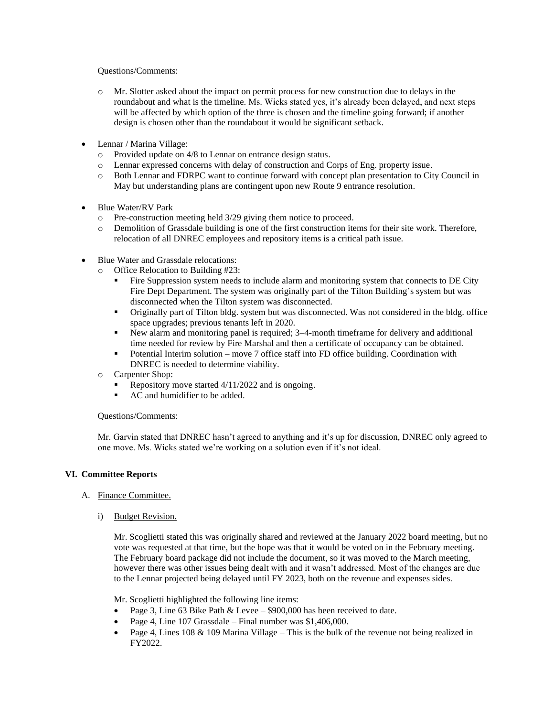Questions/Comments:

- o Mr. Slotter asked about the impact on permit process for new construction due to delays in the roundabout and what is the timeline. Ms. Wicks stated yes, it's already been delayed, and next steps will be affected by which option of the three is chosen and the timeline going forward; if another design is chosen other than the roundabout it would be significant setback.
- Lennar / Marina Village:
	- o Provided update on 4/8 to Lennar on entrance design status.
	- o Lennar expressed concerns with delay of construction and Corps of Eng. property issue.
	- o Both Lennar and FDRPC want to continue forward with concept plan presentation to City Council in May but understanding plans are contingent upon new Route 9 entrance resolution.
- Blue Water/RV Park
	- o Pre-construction meeting held 3/29 giving them notice to proceed.
	- o Demolition of Grassdale building is one of the first construction items for their site work. Therefore, relocation of all DNREC employees and repository items is a critical path issue.
- Blue Water and Grassdale relocations:
	- o Office Relocation to Building #23:
		- Fire Suppression system needs to include alarm and monitoring system that connects to DE City Fire Dept Department. The system was originally part of the Tilton Building's system but was disconnected when the Tilton system was disconnected.
		- Originally part of Tilton bldg. system but was disconnected. Was not considered in the bldg. office space upgrades; previous tenants left in 2020.
		- New alarm and monitoring panel is required; 3–4-month timeframe for delivery and additional time needed for review by Fire Marshal and then a certificate of occupancy can be obtained.
		- Potential Interim solution move 7 office staff into FD office building. Coordination with DNREC is needed to determine viability.
	- o Carpenter Shop:
		- Repository move started  $4/11/2022$  and is ongoing.
		- AC and humidifier to be added.

Questions/Comments:

Mr. Garvin stated that DNREC hasn't agreed to anything and it's up for discussion, DNREC only agreed to one move. Ms. Wicks stated we're working on a solution even if it's not ideal.

#### **VI. Committee Reports**

- A. Finance Committee.
	- i) Budget Revision.

Mr. Scoglietti stated this was originally shared and reviewed at the January 2022 board meeting, but no vote was requested at that time, but the hope was that it would be voted on in the February meeting. The February board package did not include the document, so it was moved to the March meeting, however there was other issues being dealt with and it wasn't addressed. Most of the changes are due to the Lennar projected being delayed until FY 2023, both on the revenue and expenses sides.

Mr. Scoglietti highlighted the following line items:

- Page 3, Line 63 Bike Path & Levee \$900,000 has been received to date.
- Page 4, Line 107 Grassdale Final number was  $$1,406,000$ .
- Page 4, Lines 108 & 109 Marina Village This is the bulk of the revenue not being realized in FY2022.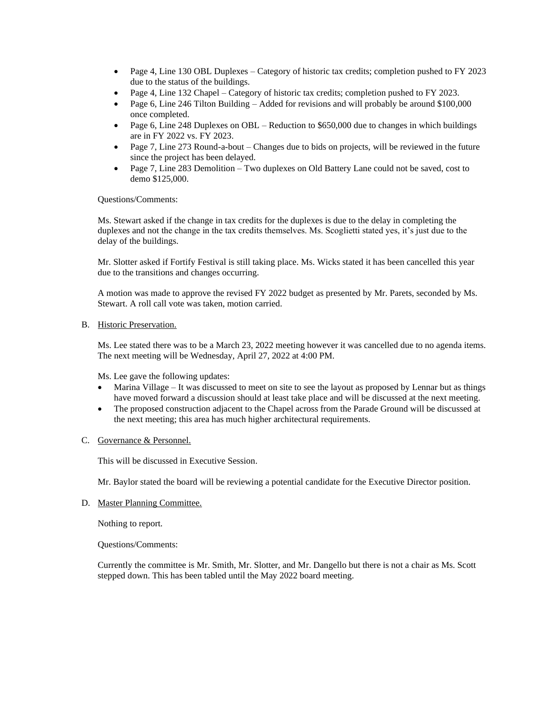- Page 4, Line 130 OBL Duplexes Category of historic tax credits; completion pushed to FY 2023 due to the status of the buildings.
- Page 4, Line 132 Chapel Category of historic tax credits; completion pushed to FY 2023.
- Page 6, Line 246 Tilton Building Added for revisions and will probably be around \$100,000 once completed.
- Page 6, Line 248 Duplexes on OBL Reduction to  $$650,000$  due to changes in which buildings are in FY 2022 vs. FY 2023.
- Page 7, Line 273 Round-a-bout Changes due to bids on projects, will be reviewed in the future since the project has been delayed.
- Page 7, Line 283 Demolition Two duplexes on Old Battery Lane could not be saved, cost to demo \$125,000.

Questions/Comments:

Ms. Stewart asked if the change in tax credits for the duplexes is due to the delay in completing the duplexes and not the change in the tax credits themselves. Ms. Scoglietti stated yes, it's just due to the delay of the buildings.

Mr. Slotter asked if Fortify Festival is still taking place. Ms. Wicks stated it has been cancelled this year due to the transitions and changes occurring.

A motion was made to approve the revised FY 2022 budget as presented by Mr. Parets, seconded by Ms. Stewart. A roll call vote was taken, motion carried.

# B. Historic Preservation.

Ms. Lee stated there was to be a March 23, 2022 meeting however it was cancelled due to no agenda items. The next meeting will be Wednesday, April 27, 2022 at 4:00 PM.

Ms. Lee gave the following updates:

- Marina Village It was discussed to meet on site to see the layout as proposed by Lennar but as things have moved forward a discussion should at least take place and will be discussed at the next meeting.
- The proposed construction adjacent to the Chapel across from the Parade Ground will be discussed at the next meeting; this area has much higher architectural requirements.
- C. Governance & Personnel.

This will be discussed in Executive Session.

Mr. Baylor stated the board will be reviewing a potential candidate for the Executive Director position.

D. Master Planning Committee.

Nothing to report.

Questions/Comments:

Currently the committee is Mr. Smith, Mr. Slotter, and Mr. Dangello but there is not a chair as Ms. Scott stepped down. This has been tabled until the May 2022 board meeting.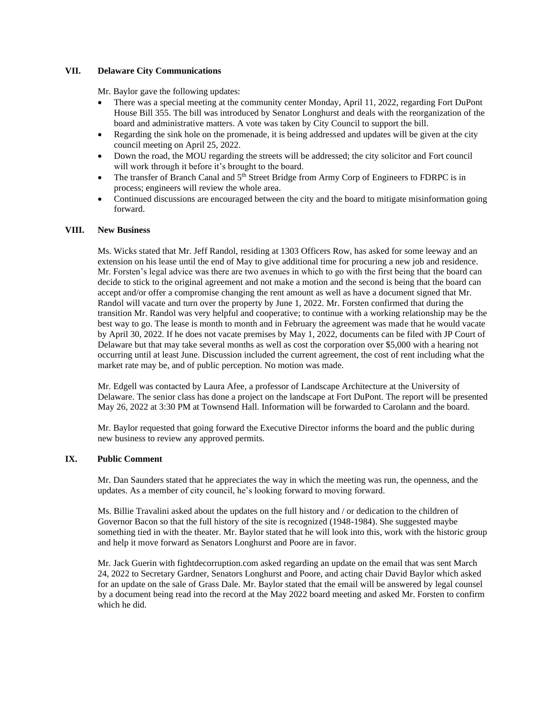## **VII. Delaware City Communications**

Mr. Baylor gave the following updates:

- There was a special meeting at the community center Monday, April 11, 2022, regarding Fort DuPont House Bill 355. The bill was introduced by Senator Longhurst and deals with the reorganization of the board and administrative matters. A vote was taken by City Council to support the bill.
- Regarding the sink hole on the promenade, it is being addressed and updates will be given at the city council meeting on April 25, 2022.
- Down the road, the MOU regarding the streets will be addressed; the city solicitor and Fort council will work through it before it's brought to the board.
- The transfer of Branch Canal and  $5<sup>th</sup>$  Street Bridge from Army Corp of Engineers to FDRPC is in process; engineers will review the whole area.
- Continued discussions are encouraged between the city and the board to mitigate misinformation going forward.

#### **VIII. New Business**

Ms. Wicks stated that Mr. Jeff Randol, residing at 1303 Officers Row, has asked for some leeway and an extension on his lease until the end of May to give additional time for procuring a new job and residence. Mr. Forsten's legal advice was there are two avenues in which to go with the first being that the board can decide to stick to the original agreement and not make a motion and the second is being that the board can accept and/or offer a compromise changing the rent amount as well as have a document signed that Mr. Randol will vacate and turn over the property by June 1, 2022. Mr. Forsten confirmed that during the transition Mr. Randol was very helpful and cooperative; to continue with a working relationship may be the best way to go. The lease is month to month and in February the agreement was made that he would vacate by April 30, 2022. If he does not vacate premises by May 1, 2022, documents can be filed with JP Court of Delaware but that may take several months as well as cost the corporation over \$5,000 with a hearing not occurring until at least June. Discussion included the current agreement, the cost of rent including what the market rate may be, and of public perception. No motion was made.

Mr. Edgell was contacted by Laura Afee, a professor of Landscape Architecture at the University of Delaware. The senior class has done a project on the landscape at Fort DuPont. The report will be presented May 26, 2022 at 3:30 PM at Townsend Hall. Information will be forwarded to Carolann and the board.

Mr. Baylor requested that going forward the Executive Director informs the board and the public during new business to review any approved permits.

#### **IX. Public Comment**

Mr. Dan Saunders stated that he appreciates the way in which the meeting was run, the openness, and the updates. As a member of city council, he's looking forward to moving forward.

Ms. Billie Travalini asked about the updates on the full history and / or dedication to the children of Governor Bacon so that the full history of the site is recognized (1948-1984). She suggested maybe something tied in with the theater. Mr. Baylor stated that he will look into this, work with the historic group and help it move forward as Senators Longhurst and Poore are in favor.

Mr. Jack Guerin with fightdecorruption.com asked regarding an update on the email that was sent March 24, 2022 to Secretary Gardner, Senators Longhurst and Poore, and acting chair David Baylor which asked for an update on the sale of Grass Dale. Mr. Baylor stated that the email will be answered by legal counsel by a document being read into the record at the May 2022 board meeting and asked Mr. Forsten to confirm which he did.